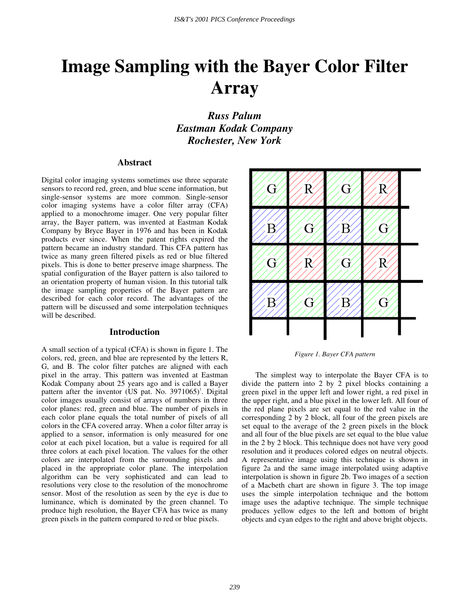# **Image Sampling with the Bayer Color Filter Array**

*Russ Palum Eastman Kodak Company Rochester, New York*

#### **Abstract**

Digital color imaging systems sometimes use three separate sensors to record red, green, and blue scene information, but single-sensor systems are more common. Single-sensor color imaging systems have a color filter array (CFA) applied to a monochrome imager. One very popular filter array, the Bayer pattern, was invented at Eastman Kodak Company by Bryce Bayer in 1976 and has been in Kodak products ever since. When the patent rights expired the pattern became an industry standard. This CFA pattern has twice as many green filtered pixels as red or blue filtered pixels. This is done to better preserve image sharpness. The spatial configuration of the Bayer pattern is also tailored to an orientation property of human vision. In this tutorial talk the image sampling properties of the Bayer pattern are described for each color record. The advantages of the pattern will be discussed and some interpolation techniques will be described.

#### **Introduction**

A small section of a typical (CFA) is shown in figure 1. The colors, red, green, and blue are represented by the letters R, G, and B. The color filter patches are aligned with each pixel in the array. This pattern was invented at Eastman Kodak Company about 25 years ago and is called a Bayer pattern after the inventor (US pat. No. 3971065)<sup>1</sup>. Digital color images usually consist of arrays of numbers in three color planes: red, green and blue. The number of pixels in each color plane equals the total number of pixels of all colors in the CFA covered array. When a color filter array is applied to a sensor, information is only measured for one color at each pixel location, but a value is required for all three colors at each pixel location. The values for the other colors are interpolated from the surrounding pixels and placed in the appropriate color plane. The interpolation algorithm can be very sophisticated and can lead to resolutions very close to the resolution of the monochrome sensor. Most of the resolution as seen by the eye is due to luminance, which is dominated by the green channel. To produce high resolution, the Bayer CFA has twice as many green pixels in the pattern compared to red or blue pixels.



*Figure 1. Bayer CFA pattern*

The simplest way to interpolate the Bayer CFA is to divide the pattern into 2 by 2 pixel blocks containing a green pixel in the upper left and lower right, a red pixel in the upper right, and a blue pixel in the lower left. All four of the red plane pixels are set equal to the red value in the corresponding 2 by 2 block, all four of the green pixels are set equal to the average of the 2 green pixels in the block and all four of the blue pixels are set equal to the blue value in the 2 by 2 block. This technique does not have very good resolution and it produces colored edges on neutral objects. A representative image using this technique is shown in figure 2a and the same image interpolated using adaptive interpolation is shown in figure 2b. Two images of a section of a Macbeth chart are shown in figure 3. The top image uses the simple interpolation technique and the bottom image uses the adaptive technique. The simple technique produces yellow edges to the left and bottom of bright objects and cyan edges to the right and above bright objects.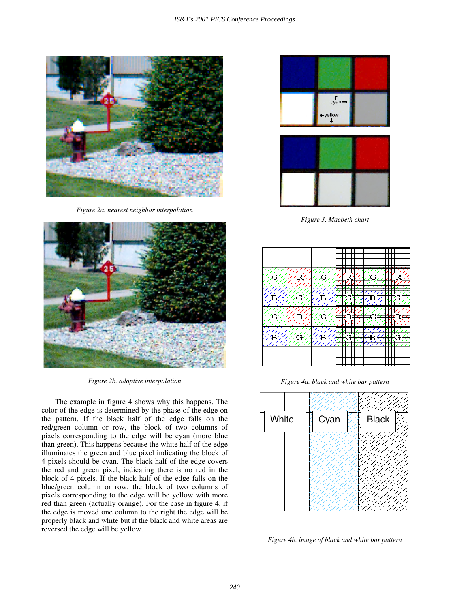

*Figure 2a. nearest neighbor interpolation*



*Figure 2b. adaptive interpolation*

The example in figure 4 shows why this happens. The color of the edge is determined by the phase of the edge on the pattern. If the black half of the edge falls on the red/green column or row, the block of two columns of pixels corresponding to the edge will be cyan (more blue than green). This happens because the white half of the edge illuminates the green and blue pixel indicating the block of 4 pixels should be cyan. The black half of the edge covers the red and green pixel, indicating there is no red in the block of 4 pixels. If the black half of the edge falls on the blue/green column or row, the block of two columns of pixels corresponding to the edge will be yellow with more red than green (actually orange). For the case in figure 4, if the edge is moved one column to the right the edge will be properly black and white but if the black and white areas are reversed the edge will be yellow.



*Figure 3. Macbeth chart*



*Figure 4a. black and white bar pattern*



*Figure 4b. image of black and white bar pattern*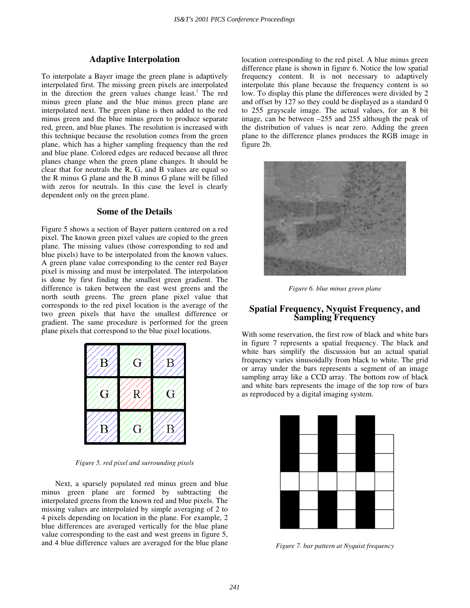## **Adaptive Interpolation**

To interpolate a Bayer image the green plane is adaptively interpolated first. The missing green pixels are interpolated in the direction the green values change least.<sup>2</sup> The red minus green plane and the blue minus green plane are interpolated next. The green plane is then added to the red minus green and the blue minus green to produce separate red, green, and blue planes. The resolution is increased with this technique because the resolution comes from the green plane, which has a higher sampling frequency than the red and blue plane. Colored edges are reduced because all three planes change when the green plane changes. It should be clear that for neutrals the R, G, and B values are equal so the R minus G plane and the B minus G plane will be filled with zeros for neutrals. In this case the level is clearly dependent only on the green plane.

## **Some of the Details**

Figure 5 shows a section of Bayer pattern centered on a red pixel. The known green pixel values are copied to the green plane. The missing values (those corresponding to red and blue pixels) have to be interpolated from the known values. A green plane value corresponding to the center red Bayer pixel is missing and must be interpolated. The interpolation is done by first finding the smallest green gradient. The difference is taken between the east west greens and the north south greens. The green plane pixel value that corresponds to the red pixel location is the average of the two green pixels that have the smallest difference or gradient. The same procedure is performed for the green plane pixels that correspond to the blue pixel locations.



*Figure 5. red pixel and surrounding pixels*

Next, a sparsely populated red minus green and blue minus green plane are formed by subtracting the interpolated greens from the known red and blue pixels. The missing values are interpolated by simple averaging of 2 to 4 pixels depending on location in the plane. For example, 2 blue differences are averaged vertically for the blue plane value corresponding to the east and west greens in figure 5, and 4 blue difference values are averaged for the blue plane

location corresponding to the red pixel. A blue minus green difference plane is shown in figure 6. Notice the low spatial frequency content. It is not necessary to adaptively interpolate this plane because the frequency content is so low. To display this plane the differences were divided by 2 and offset by 127 so they could be displayed as a standard 0 to 255 grayscale image. The actual values, for an 8 bit image, can be between –255 and 255 although the peak of the distribution of values is near zero. Adding the green plane to the difference planes produces the RGB image in figure 2b.



*Figure 6. blue minus green plane*

## **Spatial Frequency, Nyquist Frequency, and Sampling Frequency**

With some reservation, the first row of black and white bars in figure 7 represents a spatial frequency. The black and white bars simplify the discussion but an actual spatial frequency varies sinusoidally from black to white. The grid or array under the bars represents a segment of an image sampling array like a CCD array. The bottom row of black and white bars represents the image of the top row of bars as reproduced by a digital imaging system.



*Figure 7. bar pattern at Nyquist frequency*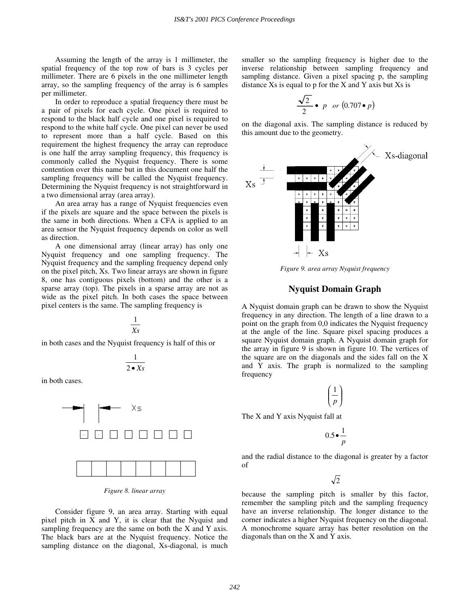Assuming the length of the array is 1 millimeter, the spatial frequency of the top row of bars is 3 cycles per millimeter. There are 6 pixels in the one millimeter length array, so the sampling frequency of the array is 6 samples per millimeter.

In order to reproduce a spatial frequency there must be a pair of pixels for each cycle. One pixel is required to respond to the black half cycle and one pixel is required to respond to the white half cycle. One pixel can never be used to represent more than a half cycle. Based on this requirement the highest frequency the array can reproduce is one half the array sampling frequency, this frequency is commonly called the Nyquist frequency. There is some contention over this name but in this document one half the sampling frequency will be called the Nyquist frequency. Determining the Nyquist frequency is not straightforward in a two dimensional array (area array).

An area array has a range of Nyquist frequencies even if the pixels are square and the space between the pixels is the same in both directions. When a CFA is applied to an area sensor the Nyquist frequency depends on color as well as direction.

A one dimensional array (linear array) has only one Nyquist frequency and one sampling frequency. The Nyquist frequency and the sampling frequency depend only on the pixel pitch, Xs. Two linear arrays are shown in figure 8, one has contiguous pixels (bottom) and the other is a sparse array (top). The pixels in a sparse array are not as wide as the pixel pitch. In both cases the space between pixel centers is the same. The sampling frequency is

$$
\frac{1}{Xs}
$$

in both cases and the Nyquist frequency is half of this or

$$
\frac{1}{2\bullet Xs}
$$

in both cases.



*Figure 8. linear array*

Consider figure 9, an area array. Starting with equal pixel pitch in X and Y, it is clear that the Nyquist and sampling frequency are the same on both the X and Y axis. The black bars are at the Nyquist frequency. Notice the sampling distance on the diagonal, Xs-diagonal, is much smaller so the sampling frequency is higher due to the inverse relationship between sampling frequency and sampling distance. Given a pixel spacing p, the sampling distance  $Xs$  is equal to  $p$  for the  $X$  and  $Y$  axis but  $Xs$  is

$$
\frac{\sqrt{2}}{2} \bullet p \text{ or } (0.707 \bullet p)
$$

on the diagonal axis. The sampling distance is reduced by this amount due to the geometry.



*Figure 9. area array Nyquist frequency*

### **Nyquist Domain Graph**

A Nyquist domain graph can be drawn to show the Nyquist frequency in any direction. The length of a line drawn to a point on the graph from 0,0 indicates the Nyquist frequency at the angle of the line. Square pixel spacing produces a square Nyquist domain graph. A Nyquist domain graph for the array in figure 9 is shown in figure 10. The vertices of the square are on the diagonals and the sides fall on the X and Y axis. The graph is normalized to the sampling frequency

$$
\left(\frac{1}{p}\right)
$$

The X and Y axis Nyquist fall at

0.5 $\cdot \frac{1}{p}$ 

and the radial distance to the diagonal is greater by a factor of

 $\sqrt{2}$ 

because the sampling pitch is smaller by this factor, remember the sampling pitch and the sampling frequency have an inverse relationship. The longer distance to the corner indicates a higher Nyquist frequency on the diagonal. A monochrome square array has better resolution on the diagonals than on the X and Y axis.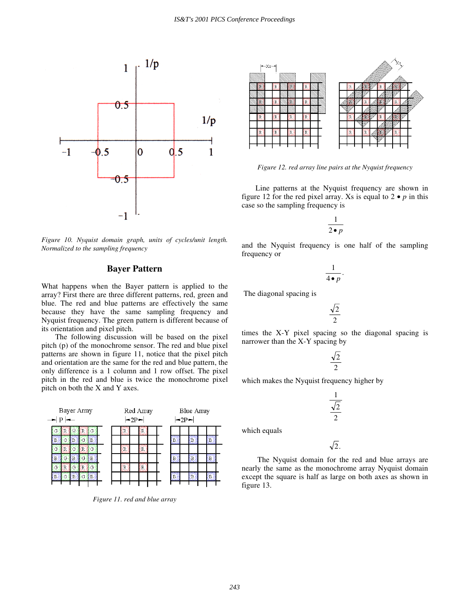

*Figure 10. Nyquist domain graph, units of cycles/unit length. Normalized to the sampling frequency*

## **Bayer Pattern**

What happens when the Bayer pattern is applied to the array? First there are three different patterns, red, green and blue. The red and blue patterns are effectively the same because they have the same sampling frequency and Nyquist frequency. The green pattern is different because of its orientation and pixel pitch.

The following discussion will be based on the pixel pitch (p) of the monochrome sensor. The red and blue pixel patterns are shown in figure 11, notice that the pixel pitch and orientation are the same for the red and blue pattern, the only difference is a 1 column and 1 row offset. The pixel pitch in the red and blue is twice the monochrome pixel pitch on both the X and Y axes.



*Figure 11. red and blue array*



*Figure 12. red array line pairs at the Nyquist frequency*

Line patterns at the Nyquist frequency are shown in figure 12 for the red pixel array. Xs is equal to  $2 \cdot p$  in this case so the sampling frequency is

$$
\frac{1}{2\bullet p}
$$

and the Nyquist frequency is one half of the sampling frequency or

$$
\frac{1}{4\bullet p}.
$$

The diagonal spacing is

$$
\frac{\sqrt{2}}{2}
$$

times the X-Y pixel spacing so the diagonal spacing is narrower than the X-Y spacing by

$$
\frac{\sqrt{2}}{2}
$$

which makes the Nyquist frequency higher by

$$
\frac{1}{\sqrt{2}}
$$

which equals

 $\sqrt{2}$ .

The Nyquist domain for the red and blue arrays are nearly the same as the monochrome array Nyquist domain except the square is half as large on both axes as shown in figure 13.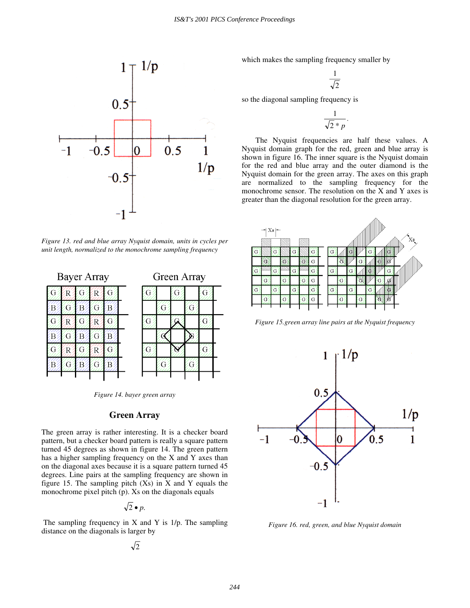

*Figure 13. red and blue array Nyquist domain, units in cycles per unit length, normalized to the monochrome sampling frequency*



| Green Array |     |   |    |    |  |
|-------------|-----|---|----|----|--|
| G           |     | G |    | G  |  |
|             | ( ì |   | ſì |    |  |
| G           |     |   |    | ٠, |  |
|             |     |   |    |    |  |
| G           |     |   |    |    |  |
|             |     |   |    |    |  |

*Figure 14. bayer green array*

### **Green Array**

The green array is rather interesting. It is a checker board pattern, but a checker board pattern is really a square pattern turned 45 degrees as shown in figure 14. The green pattern has a higher sampling frequency on the X and Y axes than on the diagonal axes because it is a square pattern turned 45 degrees. Line pairs at the sampling frequency are shown in figure 15. The sampling pitch  $(Xs)$  in X and Y equals the monochrome pixel pitch (p). Xs on the diagonals equals

$$
\sqrt{2}\bullet p.
$$

The sampling frequency in  $X$  and  $Y$  is  $1/p$ . The sampling distance on the diagonals is larger by

$$
\sqrt{2}
$$

which makes the sampling frequency smaller by

$$
\frac{1}{\sqrt{2}}
$$

so the diagonal sampling frequency is

$$
\frac{1}{\sqrt{2} * p}.
$$

The Nyquist frequencies are half these values. A Nyquist domain graph for the red, green and blue array is shown in figure 16. The inner square is the Nyquist domain for the red and blue array and the outer diamond is the Nyquist domain for the green array. The axes on this graph are normalized to the sampling frequency for the monochrome sensor. The resolution on the X and Y axes is greater than the diagonal resolution for the green array.



*Figure 15.green array line pairs at the Nyquist frequency*



*Figure 16. red, green, and blue Nyquist domain*